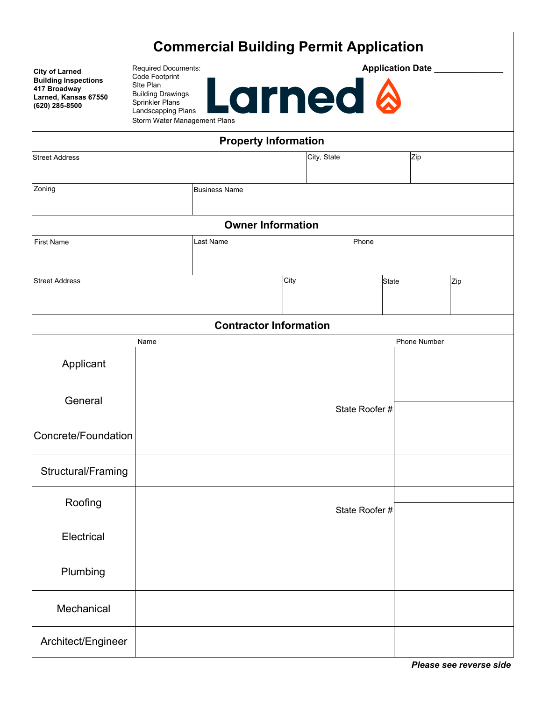| <b>Commercial Building Permit Application</b> |  |
|-----------------------------------------------|--|
|-----------------------------------------------|--|

| <b>City of Larned</b><br><b>Building Inspections</b><br>417 Broadway<br>Larned, Kansas 67550<br>(620) 285-8500 | <b>Required Documents:</b><br>Code Footprint<br>Site Plan<br><b>Building Drawings</b><br>Sprinkler Plans<br>Landscapping Plans<br>Storm Water Management Plans |                               |      | <b>Larned &amp;</b> |               |              | Application Date ________ |     |  |
|----------------------------------------------------------------------------------------------------------------|----------------------------------------------------------------------------------------------------------------------------------------------------------------|-------------------------------|------|---------------------|---------------|--------------|---------------------------|-----|--|
|                                                                                                                |                                                                                                                                                                | <b>Property Information</b>   |      |                     |               |              |                           |     |  |
| <b>Street Address</b>                                                                                          |                                                                                                                                                                |                               |      | City, State         |               |              | Zip                       |     |  |
| Zoning                                                                                                         |                                                                                                                                                                | <b>Business Name</b>          |      |                     |               |              |                           |     |  |
|                                                                                                                |                                                                                                                                                                | <b>Owner Information</b>      |      |                     |               |              |                           |     |  |
| <b>First Name</b>                                                                                              |                                                                                                                                                                | <b>Last Name</b>              |      |                     | Phone         |              |                           |     |  |
| <b>Street Address</b>                                                                                          |                                                                                                                                                                |                               | City |                     |               | <b>State</b> |                           | Zip |  |
|                                                                                                                |                                                                                                                                                                | <b>Contractor Information</b> |      |                     |               |              |                           |     |  |
|                                                                                                                | Name                                                                                                                                                           |                               |      |                     |               |              | <b>Phone Number</b>       |     |  |
| Applicant                                                                                                      |                                                                                                                                                                |                               |      |                     |               |              |                           |     |  |
| General                                                                                                        |                                                                                                                                                                |                               |      |                     | State Roofer# |              |                           |     |  |
| Concrete/Foundation                                                                                            |                                                                                                                                                                |                               |      |                     |               |              |                           |     |  |
| Structural/Framing                                                                                             |                                                                                                                                                                |                               |      |                     |               |              |                           |     |  |
| Roofing                                                                                                        |                                                                                                                                                                |                               |      |                     | State Roofer# |              |                           |     |  |
| Electrical                                                                                                     |                                                                                                                                                                |                               |      |                     |               |              |                           |     |  |
| Plumbing                                                                                                       |                                                                                                                                                                |                               |      |                     |               |              |                           |     |  |
| Mechanical                                                                                                     |                                                                                                                                                                |                               |      |                     |               |              |                           |     |  |
| Architect/Engineer                                                                                             |                                                                                                                                                                |                               |      |                     |               |              |                           |     |  |